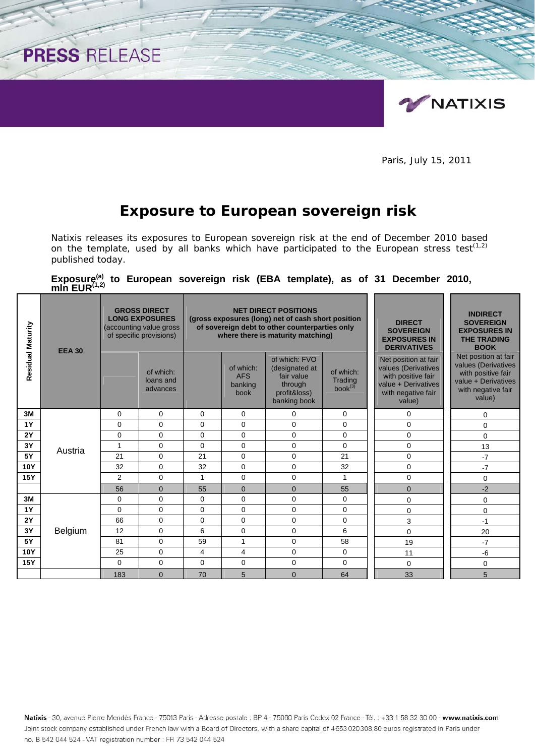

1/2

Paris, July 15, 2011

## **Exposure to European sovereign risk**

PRESS RELEASE

Natixis releases its exposures to European sovereign risk at the end of December 2010 based on the template, used by all banks which have participated to the European stress test<sup>(1,2)</sup> published today.

Exposure<sup>(a)</sup> to European sovereign risk (EBA template), as of 31 December 2010, mln EUR<sup>(1,2)</sup>

| Residual Maturity | <b>EEA 30</b> |                | <b>GROSS DIRECT</b><br><b>LONG EXPOSURES</b><br>(accounting value gross<br>of specific provisions) |              |                                            | <b>NET DIRECT POSITIONS</b><br>(gross exposures (long) net of cash short position<br>of sovereign debt to other counterparties only<br>where there is maturity matching) | <b>DIRECT</b><br><b>SOVEREIGN</b><br><b>EXPOSURES IN</b><br><b>DERIVATIVES</b> | <b>INDIRECT</b><br><b>SOVEREIGN</b><br><b>EXPOSURES IN</b><br><b>THE TRADING</b><br><b>BOOK</b>                          |                                                                                                                          |
|-------------------|---------------|----------------|----------------------------------------------------------------------------------------------------|--------------|--------------------------------------------|--------------------------------------------------------------------------------------------------------------------------------------------------------------------------|--------------------------------------------------------------------------------|--------------------------------------------------------------------------------------------------------------------------|--------------------------------------------------------------------------------------------------------------------------|
|                   |               |                | of which:<br>loans and<br>advances                                                                 |              | of which:<br><b>AFS</b><br>banking<br>book | of which: FVO<br>(designated at<br>fair value<br>through<br>profit&loss)<br>banking book                                                                                 | of which:<br>Trading<br>$book^{(3)}$                                           | Net position at fair<br>values (Derivatives<br>with positive fair<br>value + Derivatives<br>with negative fair<br>value) | Net position at fair<br>values (Derivatives<br>with positive fair<br>value + Derivatives<br>with negative fair<br>value) |
| 3M                |               | 0              | 0                                                                                                  | $\Omega$     | $\Omega$                                   | $\Omega$                                                                                                                                                                 | 0                                                                              | $\Omega$                                                                                                                 | 0                                                                                                                        |
| <b>1Y</b>         |               | $\Omega$       | $\Omega$                                                                                           | $\Omega$     | $\Omega$                                   | $\Omega$                                                                                                                                                                 | $\mathbf 0$                                                                    | $\Omega$                                                                                                                 | $\Omega$                                                                                                                 |
| 2Y                |               | $\Omega$       | $\Omega$                                                                                           | $\Omega$     | $\Omega$                                   | $\Omega$                                                                                                                                                                 | $\Omega$                                                                       | $\Omega$                                                                                                                 | $\Omega$                                                                                                                 |
| 3Y                | Austria       | $\mathbf{1}$   | $\Omega$                                                                                           | $\Omega$     | $\Omega$                                   | $\Omega$                                                                                                                                                                 | 0                                                                              | 0                                                                                                                        | 13                                                                                                                       |
| <b>5Y</b>         |               | 21             | $\Omega$                                                                                           | 21           | $\Omega$                                   | $\Omega$                                                                                                                                                                 | 21                                                                             | 0                                                                                                                        | $-7$                                                                                                                     |
| <b>10Y</b>        |               | 32             | $\Omega$                                                                                           | 32           | $\Omega$                                   | $\mathbf 0$                                                                                                                                                              | 32                                                                             | 0                                                                                                                        | $-7$                                                                                                                     |
| <b>15Y</b>        |               | $\overline{2}$ | $\Omega$                                                                                           | $\mathbf{1}$ | $\mathbf 0$                                | 0                                                                                                                                                                        | $\mathbf{1}$                                                                   | 0                                                                                                                        | $\Omega$                                                                                                                 |
|                   |               | 56             | $\mathbf{0}$                                                                                       | 55           | $\mathbf{0}$                               | $\Omega$                                                                                                                                                                 | 55                                                                             | $\mathbf{0}$                                                                                                             | $-2$                                                                                                                     |
| 3M                |               | 0              | $\Omega$                                                                                           | $\mathbf 0$  | $\Omega$                                   | 0                                                                                                                                                                        | $\mathbf 0$                                                                    | 0                                                                                                                        | 0                                                                                                                        |
| <b>1Y</b>         |               | $\Omega$       | $\Omega$                                                                                           | $\Omega$     | $\Omega$                                   | $\Omega$                                                                                                                                                                 | $\Omega$                                                                       | 0                                                                                                                        | 0                                                                                                                        |
| <b>2Y</b>         |               | 66             | $\Omega$                                                                                           | $\Omega$     | $\Omega$                                   | $\Omega$                                                                                                                                                                 | $\mathbf 0$                                                                    | 3                                                                                                                        | $-1$                                                                                                                     |
| 3Y                | Belgium       | 12             | $\mathbf 0$                                                                                        | 6            | $\mathbf 0$                                | $\Omega$                                                                                                                                                                 | 6                                                                              | $\Omega$                                                                                                                 | 20                                                                                                                       |
| <b>5Y</b>         |               | 81             | $\mathbf 0$                                                                                        | 59           | 1                                          | 0                                                                                                                                                                        | 58                                                                             | 19                                                                                                                       | $-7$                                                                                                                     |
| <b>10Y</b>        |               | 25             | $\Omega$                                                                                           | 4            | $\overline{4}$                             | $\Omega$                                                                                                                                                                 | $\mathbf 0$                                                                    | 11                                                                                                                       | $-6$                                                                                                                     |
| <b>15Y</b>        |               | $\Omega$       | $\Omega$                                                                                           | $\Omega$     | $\Omega$                                   | $\Omega$                                                                                                                                                                 | $\Omega$                                                                       | $\Omega$                                                                                                                 | 0                                                                                                                        |
|                   |               | 183            | $\Omega$                                                                                           | 70           | 5                                          | $\Omega$                                                                                                                                                                 | 64                                                                             | 33                                                                                                                       | 5                                                                                                                        |

Natixis - 30, avenue Pierre Mendès France - 75013 Paris - Adresse postale : BP 4 - 75060 Paris Cedex 02 France - Tél. : +33 1 58 32 30 00 - www.natixis.com Joint stock company established under French law with a Board of Directors, with a share capital of 4653020308,80 euros registrated in Paris under no. B 542 044 524 - VAT registration number: FR 73 542 044 524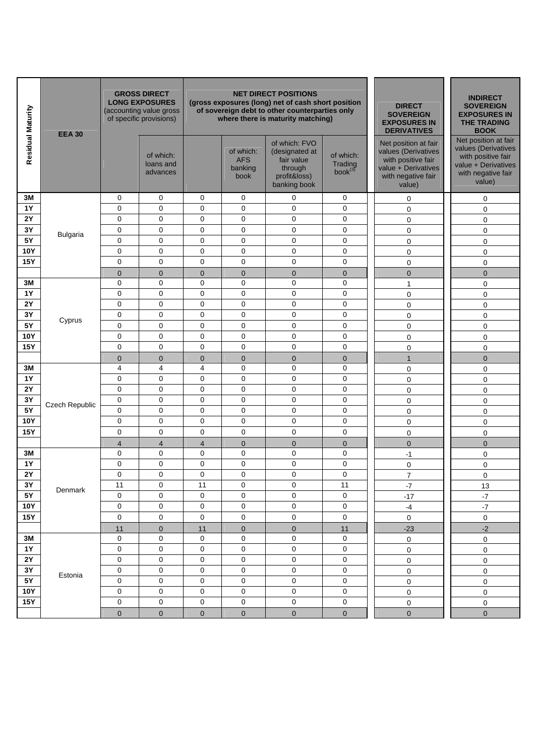| Residual Maturity | <b>EEA 30</b>         |                         | <b>GROSS DIRECT</b><br><b>LONG EXPOSURES</b><br>(accounting value gross<br>of specific provisions) |                         |                                            | <b>NET DIRECT POSITIONS</b><br>(gross exposures (long) net of cash short position<br>of sovereign debt to other counterparties only<br>where there is maturity matching) | <b>DIRECT</b><br><b>SOVEREIGN</b><br><b>EXPOSURES IN</b><br><b>DERIVATIVES</b> | <b>INDIRECT</b><br><b>SOVEREIGN</b><br><b>EXPOSURES IN</b><br><b>THE TRADING</b><br><b>BOOK</b>                          |                                                                                                                          |
|-------------------|-----------------------|-------------------------|----------------------------------------------------------------------------------------------------|-------------------------|--------------------------------------------|--------------------------------------------------------------------------------------------------------------------------------------------------------------------------|--------------------------------------------------------------------------------|--------------------------------------------------------------------------------------------------------------------------|--------------------------------------------------------------------------------------------------------------------------|
|                   |                       |                         | of which:<br>loans and<br>advances                                                                 |                         | of which:<br><b>AFS</b><br>banking<br>book | of which: FVO<br>(designated at<br>fair value<br>through<br>profit&loss)<br>banking book                                                                                 | of which:<br>Trading<br>$book^{(3)}$                                           | Net position at fair<br>values (Derivatives<br>with positive fair<br>value + Derivatives<br>with negative fair<br>value) | Net position at fair<br>values (Derivatives<br>with positive fair<br>value + Derivatives<br>with negative fair<br>value) |
| 3M                |                       | 0                       | 0                                                                                                  | $\mathbf 0$             | $\mathbf 0$                                | 0                                                                                                                                                                        | 0                                                                              | 0                                                                                                                        | 0                                                                                                                        |
| <b>1Y</b>         |                       | 0                       | $\mathbf 0$                                                                                        | 0                       | 0                                          | 0                                                                                                                                                                        | $\mathbf 0$                                                                    | $\mathbf 0$                                                                                                              | $\mathbf 0$                                                                                                              |
| 2Y                |                       | 0                       | $\mathbf 0$                                                                                        | 0                       | 0                                          | 0                                                                                                                                                                        | $\mathbf 0$                                                                    | $\pmb{0}$                                                                                                                | $\mathbf 0$                                                                                                              |
| 3Y                | <b>Bulgaria</b>       | 0                       | $\mathbf 0$                                                                                        | 0                       | $\mathbf 0$                                | 0                                                                                                                                                                        | $\mathbf 0$                                                                    | $\pmb{0}$                                                                                                                | $\mathbf 0$                                                                                                              |
| 5Y                |                       | 0                       | $\mathbf 0$                                                                                        | 0                       | 0                                          | 0                                                                                                                                                                        | $\mathbf 0$                                                                    | $\pmb{0}$                                                                                                                | $\mathbf 0$                                                                                                              |
| <b>10Y</b>        |                       | 0                       | $\mathbf 0$                                                                                        | $\mathbf 0$             | $\mathbf 0$                                | 0                                                                                                                                                                        | 0                                                                              | $\mathbf 0$                                                                                                              | $\mathbf 0$                                                                                                              |
| <b>15Y</b>        |                       | 0                       | $\mathbf 0$                                                                                        | 0                       | 0                                          | $\mathbf 0$                                                                                                                                                              | $\mathbf 0$                                                                    | $\mathbf 0$                                                                                                              | $\mathbf 0$                                                                                                              |
|                   |                       | $\overline{0}$          | $\mathbf{0}$                                                                                       | $\mathbf{0}$            | $\overline{0}$                             | $\mathbf{0}$                                                                                                                                                             | $\mathbf{0}$                                                                   | $\overline{0}$                                                                                                           | $\overline{0}$                                                                                                           |
| 3M                |                       | 0                       | $\mathbf 0$                                                                                        | $\mathbf 0$             | $\mathbf 0$                                | 0                                                                                                                                                                        | $\mathbf 0$                                                                    | $\mathbf{1}$                                                                                                             | $\mathbf 0$                                                                                                              |
| <b>1Y</b>         |                       | 0                       | $\mathbf 0$                                                                                        | $\mathbf 0$             | 0                                          | 0                                                                                                                                                                        | $\mathbf 0$                                                                    | $\pmb{0}$                                                                                                                | 0                                                                                                                        |
| <b>2Y</b>         |                       | 0                       | $\mathbf 0$                                                                                        | $\mathbf 0$             | 0                                          | 0                                                                                                                                                                        | 0                                                                              | 0                                                                                                                        | $\mathbf 0$                                                                                                              |
| 3Y                | Cyprus                | 0                       | $\mathbf 0$                                                                                        | 0                       | 0                                          | 0                                                                                                                                                                        | $\mathbf 0$                                                                    | $\mathsf 0$                                                                                                              | 0                                                                                                                        |
| <b>5Y</b>         |                       | 0                       | $\mathbf 0$                                                                                        | 0                       | $\mathbf 0$                                | 0                                                                                                                                                                        | $\mathbf 0$                                                                    | $\mathsf 0$                                                                                                              | 0                                                                                                                        |
| <b>10Y</b>        |                       | 0                       | $\mathbf 0$                                                                                        | 0                       | $\mathbf 0$                                | 0                                                                                                                                                                        | $\mathbf 0$                                                                    | $\pmb{0}$                                                                                                                | 0                                                                                                                        |
| <b>15Y</b>        |                       | 0                       | $\mathbf 0$                                                                                        | 0                       | $\mathbf 0$                                | 0                                                                                                                                                                        | $\mathbf 0$                                                                    | $\mathbf 0$                                                                                                              | 0                                                                                                                        |
|                   |                       | 0<br>4                  | $\mathbf{0}$<br>$\overline{4}$                                                                     | $\mathbf 0$<br>4        | $\overline{0}$<br>$\mathbf 0$              | $\overline{0}$<br>0                                                                                                                                                      | $\mathbf 0$<br>$\mathbf 0$                                                     | $\mathbf{1}$                                                                                                             | $\overline{0}$                                                                                                           |
| 3M<br><b>1Y</b>   |                       | 0                       | $\mathbf 0$                                                                                        | $\mathbf 0$             | $\mathbf 0$                                | 0                                                                                                                                                                        | 0                                                                              | $\mathbf 0$                                                                                                              | 0                                                                                                                        |
| 2Y                |                       | 0                       | $\mathbf 0$                                                                                        | $\mathbf 0$             | $\mathbf 0$                                | 0                                                                                                                                                                        | 0                                                                              | $\mathbf 0$                                                                                                              | $\mathbf 0$                                                                                                              |
| 3Y                |                       | 0                       | $\mathbf 0$                                                                                        | 0                       | $\mathbf 0$                                | 0                                                                                                                                                                        | $\mathbf 0$                                                                    | $\pmb{0}$                                                                                                                | 0<br>$\mathbf 0$                                                                                                         |
| <b>5Y</b>         | <b>Czech Republic</b> | 0                       | $\mathbf 0$                                                                                        | 0                       | $\mathbf 0$                                | 0                                                                                                                                                                        | 0                                                                              | $\mathbf 0$                                                                                                              |                                                                                                                          |
| <b>10Y</b>        |                       | 0                       | $\pmb{0}$                                                                                          | 0                       | $\mathbf 0$                                | 0                                                                                                                                                                        | $\mathbf 0$                                                                    | $\mathbf 0$<br>$\mathbf 0$                                                                                               | $\mathbf 0$<br>0                                                                                                         |
| <b>15Y</b>        |                       | 0                       | $\mathbf 0$                                                                                        | $\mathbf 0$             | 0                                          | 0                                                                                                                                                                        | $\mathbf 0$                                                                    | $\mathbf 0$                                                                                                              | 0                                                                                                                        |
|                   |                       | $\overline{\mathbf{4}}$ | $\overline{4}$                                                                                     | $\overline{\mathbf{4}}$ | $\overline{0}$                             | $\mathbf 0$                                                                                                                                                              | $\mathbf 0$                                                                    | $\mathbf 0$                                                                                                              | $\mathbf{0}$                                                                                                             |
| 3M                |                       | 0                       | $\mathbf 0$                                                                                        | 0                       | $\mathbf 0$                                | 0                                                                                                                                                                        | 0                                                                              | $-1$                                                                                                                     | $\mathbf 0$                                                                                                              |
| <b>1Y</b>         |                       | 0                       | 0                                                                                                  | $\mathbf 0$             | 0                                          | 0                                                                                                                                                                        | 0                                                                              | 0                                                                                                                        | 0                                                                                                                        |
| <b>2Y</b>         |                       | $\Omega$                | $\Omega$                                                                                           | $\Omega$                | $\Omega$                                   | $\Omega$                                                                                                                                                                 | $\Omega$                                                                       | $\overline{7}$                                                                                                           | 0                                                                                                                        |
| 3Y                |                       | 11                      | 0                                                                                                  | 11                      | 0                                          | 0                                                                                                                                                                        | 11                                                                             | $-7$                                                                                                                     | 13                                                                                                                       |
| <b>5Y</b>         | Denmark               | 0                       | 0                                                                                                  | 0                       | $\pmb{0}$                                  | 0                                                                                                                                                                        | $\mathbf 0$                                                                    | $-17$                                                                                                                    | $\textnormal{-}7$                                                                                                        |
| <b>10Y</b>        |                       | 0                       | 0                                                                                                  | 0                       | $\pmb{0}$                                  | 0                                                                                                                                                                        | $\mathsf 0$                                                                    | $-4$                                                                                                                     | $\textnormal{-}7$                                                                                                        |
| <b>15Y</b>        |                       | 0                       | 0                                                                                                  | 0                       | $\mathbf 0$                                | 0                                                                                                                                                                        | $\mathsf 0$                                                                    | $\mathsf{O}\xspace$                                                                                                      | $\mathsf{O}\xspace$                                                                                                      |
|                   |                       | 11                      | $\mathbf 0$                                                                                        | 11                      | $\mathbf 0$                                | $\pmb{0}$                                                                                                                                                                | 11                                                                             | $-23$                                                                                                                    | $-2$                                                                                                                     |
| 3M                |                       | 0                       | 0                                                                                                  | 0                       | 0                                          | 0                                                                                                                                                                        | 0                                                                              | 0                                                                                                                        | 0                                                                                                                        |
| <b>1Y</b>         |                       | 0                       | 0                                                                                                  | 0                       | $\pmb{0}$                                  | $\pmb{0}$                                                                                                                                                                | $\mathbf 0$                                                                    | $\pmb{0}$                                                                                                                | 0                                                                                                                        |
| $2\mathsf{Y}$     |                       | $\mathbf 0$             | 0                                                                                                  | 0                       | $\mathbf 0$                                | $\mathbf 0$                                                                                                                                                              | $\mathbf 0$                                                                    | 0                                                                                                                        | 0                                                                                                                        |
| $3\,\rm Y$        | Estonia               | 0                       | 0                                                                                                  | 0                       | $\mathbf 0$                                | $\mathbf 0$                                                                                                                                                              | 0                                                                              | $\pmb{0}$                                                                                                                | 0                                                                                                                        |
| $5Y$              |                       | 0                       | 0                                                                                                  | 0                       | $\mathbf 0$                                | 0                                                                                                                                                                        | $\mathsf 0$                                                                    | $\pmb{0}$                                                                                                                | 0                                                                                                                        |
| <b>10Y</b>        |                       | 0                       | 0                                                                                                  | 0                       | $\pmb{0}$                                  | 0                                                                                                                                                                        | $\mathsf 0$                                                                    | $\pmb{0}$                                                                                                                | 0                                                                                                                        |
| <b>15Y</b>        |                       | 0                       | 0                                                                                                  | 0                       | $\pmb{0}$                                  | $\mathsf{O}\xspace$                                                                                                                                                      | $\mathsf 0$                                                                    | $\pmb{0}$                                                                                                                | $\pmb{0}$                                                                                                                |
|                   |                       | 0                       | $\mathbf{0}$                                                                                       | $\pmb{0}$               | $\bf 0$                                    | $\mathbf 0$                                                                                                                                                              | $\mathbf{0}$                                                                   | $\pmb{0}$                                                                                                                | $\mathbf 0$                                                                                                              |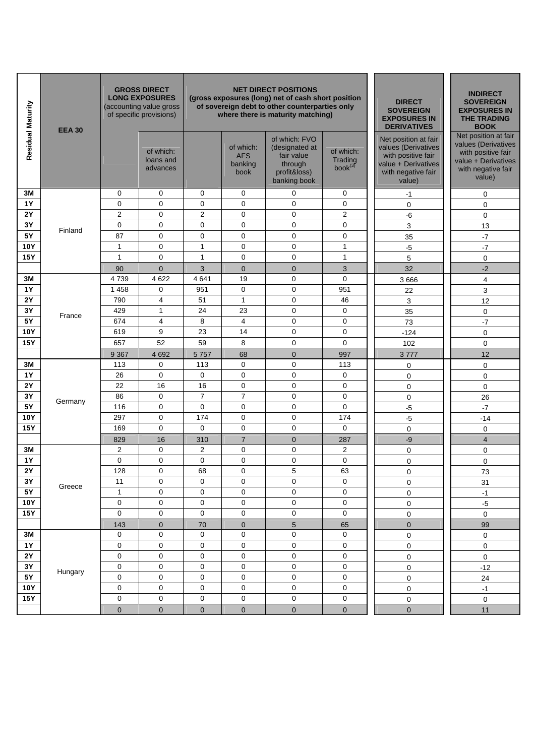| Residual Maturity | <b>EEA 30</b> |                | <b>GROSS DIRECT</b><br><b>LONG EXPOSURES</b><br>(accounting value gross<br>of specific provisions) |                |                                            | <b>NET DIRECT POSITIONS</b><br>(gross exposures (long) net of cash short position<br>of sovereign debt to other counterparties only<br>where there is maturity matching) | <b>DIRECT</b><br><b>SOVEREIGN</b><br><b>EXPOSURES IN</b><br><b>DERIVATIVES</b> | <b>INDIRECT</b><br><b>SOVEREIGN</b><br><b>EXPOSURES IN</b><br><b>THE TRADING</b><br><b>BOOK</b>                          |                                                                                                                          |
|-------------------|---------------|----------------|----------------------------------------------------------------------------------------------------|----------------|--------------------------------------------|--------------------------------------------------------------------------------------------------------------------------------------------------------------------------|--------------------------------------------------------------------------------|--------------------------------------------------------------------------------------------------------------------------|--------------------------------------------------------------------------------------------------------------------------|
|                   |               |                | of which:<br>loans and<br>advances                                                                 |                | of which:<br><b>AFS</b><br>banking<br>book | of which: FVO<br>(designated at<br>fair value<br>through<br>profit&loss)<br>banking book                                                                                 | of which:<br>Trading<br>book <sup>(3)</sup>                                    | Net position at fair<br>values (Derivatives<br>with positive fair<br>value + Derivatives<br>with negative fair<br>value) | Net position at fair<br>values (Derivatives<br>with positive fair<br>value + Derivatives<br>with negative fair<br>value) |
| 3M                |               | 0              | $\mathbf 0$                                                                                        | 0              | $\mathbf 0$                                | 0                                                                                                                                                                        | 0                                                                              | $-1$                                                                                                                     | 0                                                                                                                        |
| <b>1Y</b>         |               | 0              | $\mathbf 0$                                                                                        | 0              | $\mathbf 0$                                | 0                                                                                                                                                                        | $\mathbf 0$                                                                    | $\mathbf 0$                                                                                                              | $\mathbf 0$                                                                                                              |
| 2Y                |               | 2              | $\mathbf 0$                                                                                        | $\overline{2}$ | $\mathbf 0$                                | 0                                                                                                                                                                        | $\overline{2}$                                                                 | -6                                                                                                                       | $\mathbf 0$                                                                                                              |
| 3Y                | Finland       | 0              | $\mathbf 0$                                                                                        | $\mathbf 0$    | 0                                          | $\mathbf 0$                                                                                                                                                              | 0                                                                              | 3                                                                                                                        | 13                                                                                                                       |
| 5Y                |               | 87             | $\mathbf 0$                                                                                        | $\mathbf 0$    | 0                                          | 0                                                                                                                                                                        | 0                                                                              | 35                                                                                                                       | $-7$                                                                                                                     |
| <b>10Y</b>        |               | $\mathbf{1}$   | $\mathbf 0$                                                                                        | $\mathbf{1}$   | $\mathbf 0$                                | 0                                                                                                                                                                        | $\mathbf{1}$                                                                   | $-5$                                                                                                                     | $-7$                                                                                                                     |
| <b>15Y</b>        |               | $\mathbf{1}$   | $\mathbf 0$                                                                                        | $\mathbf{1}$   | 0                                          | 0                                                                                                                                                                        | $\mathbf{1}$                                                                   | 5                                                                                                                        | $\mathbf 0$                                                                                                              |
|                   |               | 90             | $\mathbf 0$                                                                                        | 3              | $\mathbf 0$                                | $\mathbf 0$                                                                                                                                                              | 3                                                                              | 32                                                                                                                       | $-2$                                                                                                                     |
| 3M                |               | 4739           | 4 6 22                                                                                             | 4641           | 19                                         | $\mathbf 0$                                                                                                                                                              | $\mathbf 0$                                                                    | 3 6 6 6                                                                                                                  | 4                                                                                                                        |
| <b>1Y</b>         |               | 1 4 5 8        | 0                                                                                                  | 951            | $\mathbf 0$                                | 0                                                                                                                                                                        | 951                                                                            | 22                                                                                                                       | 3                                                                                                                        |
| 2Y                |               | 790            | $\overline{\mathbf{4}}$                                                                            | 51             | $\mathbf{1}$                               | 0                                                                                                                                                                        | 46                                                                             | 3                                                                                                                        | 12                                                                                                                       |
| 3Y                | France        | 429            | $\mathbf{1}$                                                                                       | 24             | 23                                         | 0                                                                                                                                                                        | 0                                                                              | 35                                                                                                                       | 0                                                                                                                        |
| 5Y                |               | 674            | 4                                                                                                  | 8              | $\overline{4}$                             | 0                                                                                                                                                                        | 0                                                                              | 73                                                                                                                       | $-7$                                                                                                                     |
| <b>10Y</b>        |               | 619            | 9                                                                                                  | 23             | 14                                         | 0                                                                                                                                                                        | $\mathbf 0$                                                                    | $-124$                                                                                                                   | 0                                                                                                                        |
| <b>15Y</b>        |               | 657            | 52                                                                                                 | 59             | 8                                          | 0                                                                                                                                                                        | $\mathbf 0$                                                                    | 102                                                                                                                      | 0                                                                                                                        |
|                   |               | 9 3 6 7        | 4 6 9 2                                                                                            | 5757           | 68                                         | $\mathbf{0}$                                                                                                                                                             | 997                                                                            | 3777                                                                                                                     | 12                                                                                                                       |
| 3M                |               | 113            | $\mathbf 0$                                                                                        | 113            | $\mathbf 0$                                | 0                                                                                                                                                                        | 113                                                                            | 0                                                                                                                        | 0                                                                                                                        |
| <b>1Y</b>         |               | 26             | $\mathbf 0$                                                                                        | $\mathbf 0$    | 0                                          | $\mathbf 0$                                                                                                                                                              | 0                                                                              | $\pmb{0}$                                                                                                                | 0                                                                                                                        |
| 2Y                |               | 22             | 16                                                                                                 | 16             | 0                                          | 0                                                                                                                                                                        | $\mathbf 0$                                                                    | $\mathbf 0$                                                                                                              | 0                                                                                                                        |
| 3Y                | Germany       | 86             | $\mathbf 0$                                                                                        | $\overline{7}$ | $\overline{7}$                             | 0                                                                                                                                                                        | $\mathbf 0$                                                                    | $\mathbf 0$                                                                                                              | 26                                                                                                                       |
| 5Y                |               | 116            | 0                                                                                                  | $\mathbf 0$    | $\mathbf 0$                                | 0                                                                                                                                                                        | 0                                                                              | $-5$                                                                                                                     | $-7$                                                                                                                     |
| <b>10Y</b>        |               | 297            | $\mathbf 0$                                                                                        | 174            | $\mathbf 0$                                | 0                                                                                                                                                                        | 174                                                                            | $-5$                                                                                                                     | $-14$                                                                                                                    |
| <b>15Y</b>        |               | 169            | $\mathbf 0$                                                                                        | $\mathbf 0$    | $\mathbf 0$                                | 0                                                                                                                                                                        | 0                                                                              | 0                                                                                                                        | 0                                                                                                                        |
|                   |               | 829            | 16                                                                                                 | 310            | $\overline{7}$                             | $\mathbf 0$                                                                                                                                                              | 287                                                                            | $-9$                                                                                                                     | $\overline{4}$                                                                                                           |
| 3M                |               | 2              | $\mathbf 0$                                                                                        | 2              | $\mathbf 0$                                | 0                                                                                                                                                                        | 2                                                                              | $\mathbf 0$                                                                                                              | $\mathbf 0$                                                                                                              |
| <b>1Y</b>         |               | 0              | 0                                                                                                  | 0              | $\mathbf 0$                                | 0                                                                                                                                                                        | $\mathbf 0$                                                                    | 0                                                                                                                        | $\mathbf 0$                                                                                                              |
| <b>2Y</b>         |               | 128            | $\mathbf 0$                                                                                        | 68             | 0                                          | 5                                                                                                                                                                        | 63                                                                             | $\mathbf{0}$                                                                                                             | 73                                                                                                                       |
| 3Y                | Greece        | 11             | 0                                                                                                  | 0              | $\mathbf 0$                                | 0                                                                                                                                                                        | 0                                                                              | $\pmb{0}$                                                                                                                | 31                                                                                                                       |
| 5Y                |               | $\mathbf{1}$   | 0                                                                                                  | 0              | $\mathbf 0$                                | 0                                                                                                                                                                        | 0                                                                              | 0                                                                                                                        | $-1$                                                                                                                     |
| <b>10Y</b>        |               | $\mathbf 0$    | $\mathbf 0$                                                                                        | 0              | $\mathbf 0$                                | 0                                                                                                                                                                        | 0                                                                              | 0                                                                                                                        | $-5$                                                                                                                     |
| <b>15Y</b>        |               | $\mathbf 0$    | 0                                                                                                  | 0              | $\mathbf 0$                                | $\mathbf 0$                                                                                                                                                              | 0                                                                              | $\mathbf 0$                                                                                                              | $\mathbf 0$                                                                                                              |
|                   |               | 143            | $\mathbf{0}$                                                                                       | 70             | $\mathbf 0$                                | $\sqrt{5}$                                                                                                                                                               | 65                                                                             | $\pmb{0}$                                                                                                                | 99                                                                                                                       |
| 3M                |               | 0              | 0                                                                                                  | 0              | $\mathbf 0$                                | $\mathbf 0$                                                                                                                                                              | 0                                                                              | $\mathbf 0$                                                                                                              | $\mathbf 0$                                                                                                              |
| <b>1Y</b>         |               | $\pmb{0}$      | 0                                                                                                  | 0              | $\pmb{0}$                                  | 0                                                                                                                                                                        | 0                                                                              | $\mathbf 0$                                                                                                              | 0                                                                                                                        |
| $2\,\mathrm{Y}$   |               | 0              | 0                                                                                                  | 0              | $\mathbf 0$                                | $\mathbf 0$                                                                                                                                                              | 0                                                                              | $\mathbf 0$                                                                                                              | $\pmb{0}$                                                                                                                |
| 3Y                | Hungary       | 0              | 0                                                                                                  | 0              | $\pmb{0}$                                  | 0                                                                                                                                                                        | 0                                                                              | 0                                                                                                                        | $-12$                                                                                                                    |
| 5Y                |               | $\mathbf 0$    | 0                                                                                                  | 0              | 0                                          | 0                                                                                                                                                                        | $\mathbf 0$                                                                    | $\mathsf 0$                                                                                                              | 24                                                                                                                       |
| <b>10Y</b>        |               | $\mathbf 0$    | $\mathbf 0$                                                                                        | 0              | 0                                          | 0                                                                                                                                                                        | $\mathbf 0$                                                                    | 0                                                                                                                        | $-1$                                                                                                                     |
| <b>15Y</b>        |               | $\mathbf 0$    | $\mathbf 0$                                                                                        | 0              | $\mathbf 0$                                | $\mathbf 0$                                                                                                                                                              | $\mathbf 0$                                                                    | $\mathbf 0$                                                                                                              | $\mathbf 0$                                                                                                              |
|                   |               | $\overline{0}$ | $\mathbf 0$                                                                                        | $\mathbf{0}$   | $\mathbf 0$                                | $\mathbf{0}$                                                                                                                                                             | $\mathbf 0$                                                                    | $\overline{0}$                                                                                                           | 11                                                                                                                       |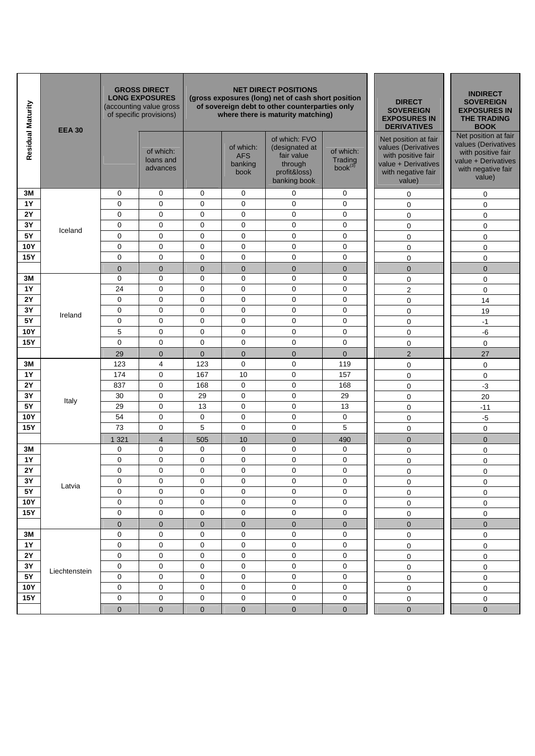| Residual Maturity | <b>EEA 30</b> |              | <b>GROSS DIRECT</b><br><b>LONG EXPOSURES</b><br>(accounting value gross<br>of specific provisions) |              |                                            | <b>NET DIRECT POSITIONS</b><br>(gross exposures (long) net of cash short position<br>of sovereign debt to other counterparties only<br>where there is maturity matching) | <b>DIRECT</b><br><b>SOVEREIGN</b><br><b>EXPOSURES IN</b><br><b>DERIVATIVES</b> | <b>INDIRECT</b><br><b>SOVEREIGN</b><br><b>EXPOSURES IN</b><br><b>THE TRADING</b><br><b>BOOK</b>                          |                                                                                                                          |
|-------------------|---------------|--------------|----------------------------------------------------------------------------------------------------|--------------|--------------------------------------------|--------------------------------------------------------------------------------------------------------------------------------------------------------------------------|--------------------------------------------------------------------------------|--------------------------------------------------------------------------------------------------------------------------|--------------------------------------------------------------------------------------------------------------------------|
|                   |               |              | of which:<br>loans and<br>advances                                                                 |              | of which:<br><b>AFS</b><br>banking<br>book | of which: FVO<br>(designated at<br>fair value<br>through<br>profit&loss)<br>banking book                                                                                 | of which:<br>Trading<br>$book^{(3)}$                                           | Net position at fair<br>values (Derivatives<br>with positive fair<br>value + Derivatives<br>with negative fair<br>value) | Net position at fair<br>values (Derivatives<br>with positive fair<br>value + Derivatives<br>with negative fair<br>value) |
| 3M                |               | 0            | 0                                                                                                  | 0            | 0                                          | $\mathbf 0$                                                                                                                                                              | 0                                                                              | 0                                                                                                                        | 0                                                                                                                        |
| <b>1Y</b>         |               | 0            | $\mathbf 0$                                                                                        | $\mathbf 0$  | $\mathbf 0$                                | $\mathbf 0$                                                                                                                                                              | $\mathbf 0$                                                                    | 0                                                                                                                        | 0                                                                                                                        |
| 2Y                |               | 0            | $\mathbf 0$                                                                                        | $\mathbf 0$  | $\mathbf 0$                                | $\mathbf 0$                                                                                                                                                              | $\mathbf 0$                                                                    | 0                                                                                                                        | 0                                                                                                                        |
| 3Y                | Iceland       | 0            | $\mathbf 0$                                                                                        | 0            | $\mathbf 0$                                | $\mathbf 0$                                                                                                                                                              | $\mathbf 0$                                                                    | 0                                                                                                                        | 0                                                                                                                        |
| 5Y                |               | 0            | $\mathbf 0$                                                                                        | $\mathbf 0$  | $\mathbf 0$                                | $\mathbf 0$                                                                                                                                                              | $\mathbf 0$                                                                    | 0                                                                                                                        | 0                                                                                                                        |
| 10Y               |               | 0            | 0                                                                                                  | 0            | $\mathbf 0$                                | 0                                                                                                                                                                        | $\mathbf 0$                                                                    | 0                                                                                                                        | 0                                                                                                                        |
| <b>15Y</b>        |               | 0            | $\mathbf 0$                                                                                        | 0            | $\mathbf 0$                                | $\mathbf 0$                                                                                                                                                              | $\mathbf 0$                                                                    | 0                                                                                                                        | 0                                                                                                                        |
|                   |               | $\mathbf 0$  | $\mathbf 0$                                                                                        | $\mathbf 0$  | $\mathbf{0}$                               | $\mathbf 0$                                                                                                                                                              | $\mathbf 0$                                                                    | $\mathbf 0$                                                                                                              | $\mathbf 0$                                                                                                              |
| 3M                |               | 0            | $\mathbf 0$                                                                                        | $\mathbf 0$  | $\mathbf 0$                                | 0                                                                                                                                                                        | $\mathbf 0$                                                                    | 0                                                                                                                        | 0                                                                                                                        |
| <b>1Y</b>         |               | 24           | $\mathbf 0$                                                                                        | $\pmb{0}$    | $\mathbf 0$                                | $\mathbf 0$                                                                                                                                                              | $\mathbf 0$                                                                    | 2                                                                                                                        | 0                                                                                                                        |
| 2Y                |               | 0            | $\mathbf 0$                                                                                        | $\mathbf 0$  | $\mathbf 0$                                | $\mathbf 0$                                                                                                                                                              | 0                                                                              | 0                                                                                                                        | 14                                                                                                                       |
| 3Y                | Ireland       | 0            | $\mathbf 0$                                                                                        | $\mathbf 0$  | $\mathbf 0$                                | $\mathbf 0$                                                                                                                                                              | $\mathbf 0$                                                                    | 0                                                                                                                        | 19                                                                                                                       |
| 5Y                |               | $\mathbf 0$  | $\mathbf 0$                                                                                        | $\mathbf 0$  | $\mathbf 0$                                | $\mathbf 0$                                                                                                                                                              | $\mathbf 0$                                                                    | 0                                                                                                                        | $-1$                                                                                                                     |
| <b>10Y</b>        |               | 5            | $\mathbf 0$                                                                                        | $\pmb{0}$    | $\mathbf 0$                                | $\mathbf 0$                                                                                                                                                              | 0                                                                              | 0                                                                                                                        | -6                                                                                                                       |
| <b>15Y</b>        |               | 0            | $\mathbf 0$                                                                                        | $\mathbf 0$  | $\mathbf 0$                                | $\mathbf 0$                                                                                                                                                              | $\mathbf 0$                                                                    | 0                                                                                                                        | $\mathbf 0$                                                                                                              |
|                   |               | 29           | $\mathbf 0$                                                                                        | $\mathbf{0}$ | $\mathbf{0}$                               | $\mathbf{0}$                                                                                                                                                             | $\mathbf 0$                                                                    | $\overline{2}$                                                                                                           | 27                                                                                                                       |
| 3M                |               | 123          | 4                                                                                                  | 123          | $\mathbf 0$                                | $\mathbf 0$                                                                                                                                                              | 119                                                                            | 0                                                                                                                        | 0                                                                                                                        |
| <b>1Y</b>         |               | 174          | $\mathbf 0$                                                                                        | 167          | 10                                         | $\mathbf 0$                                                                                                                                                              | 157                                                                            | 0                                                                                                                        | 0                                                                                                                        |
| <b>2Y</b>         |               | 837          | 0                                                                                                  | 168          | $\mathbf 0$                                | $\mathbf 0$                                                                                                                                                              | 168                                                                            | 0                                                                                                                        | $-3$                                                                                                                     |
| 3Y<br><b>5Y</b>   | Italy         | 30<br>29     | 0<br>$\mathbf 0$                                                                                   | 29<br>13     | $\mathbf 0$<br>$\mathbf 0$                 | 0<br>$\mathbf 0$                                                                                                                                                         | 29<br>13                                                                       | 0                                                                                                                        | 20                                                                                                                       |
| <b>10Y</b>        |               | 54           | $\mathbf 0$                                                                                        | 0            | $\mathbf 0$                                | $\mathbf 0$                                                                                                                                                              | $\mathbf 0$                                                                    | 0                                                                                                                        | $-11$                                                                                                                    |
| 15Y               |               | 73           | $\mathbf 0$                                                                                        | 5            | $\mathbf 0$                                | $\mathbf 0$                                                                                                                                                              | 5                                                                              | 0                                                                                                                        | $-5$                                                                                                                     |
|                   |               |              |                                                                                                    |              |                                            |                                                                                                                                                                          |                                                                                | $\mathbf 0$                                                                                                              | 0                                                                                                                        |
| 3M                |               | 1 3 2 1<br>0 | $\overline{4}$<br>0                                                                                | 505<br>0     | 10<br>$\mathbf 0$                          | $\mathbf 0$<br>$\mathbf 0$                                                                                                                                               | 490<br>0                                                                       | $\overline{0}$<br>$\mathbf 0$                                                                                            | $\mathbf 0$<br>0                                                                                                         |
| <b>1Y</b>         |               | 0            | $\mathbf 0$                                                                                        | 0            | $\mathbf 0$                                | $\pmb{0}$                                                                                                                                                                | $\mathbf 0$                                                                    | 0                                                                                                                        | 0                                                                                                                        |
| 2Y                |               | 0            | $\Omega$                                                                                           | $\mathbf 0$  | $\mathbf 0$                                | $\mathbf 0$                                                                                                                                                              | $\mathbf 0$                                                                    | $\Omega$                                                                                                                 | $\Omega$                                                                                                                 |
| $3Y$              |               | 0            | $\mathbf 0$                                                                                        | $\pmb{0}$    | $\mathbf 0$                                | $\mathbf 0$                                                                                                                                                              | $\mathbf 0$                                                                    | $\pmb{0}$                                                                                                                | 0                                                                                                                        |
| $5\,\rm{Y}$       | Latvia        | 0            | $\mathbf 0$                                                                                        | 0            | $\mathbf 0$                                | $\mathbf 0$                                                                                                                                                              | $\mathbf 0$                                                                    | 0                                                                                                                        | 0                                                                                                                        |
| <b>10Y</b>        |               | 0            | 0                                                                                                  | 0            | $\pmb{0}$                                  | 0                                                                                                                                                                        | $\mathbf 0$                                                                    | 0                                                                                                                        | $\mathsf 0$                                                                                                              |
| <b>15Y</b>        |               | 0            | 0                                                                                                  | $\mathbf 0$  | $\pmb{0}$                                  | $\mathsf{O}\xspace$                                                                                                                                                      | $\pmb{0}$                                                                      | $\mathsf 0$                                                                                                              | 0                                                                                                                        |
|                   |               | $\pmb{0}$    | $\mathbf 0$                                                                                        | $\pmb{0}$    | $\pmb{0}$                                  | $\pmb{0}$                                                                                                                                                                | $\pmb{0}$                                                                      | $\mathbf 0$                                                                                                              | $\pmb{0}$                                                                                                                |
| $3M$              |               | 0            | 0                                                                                                  | 0            | $\pmb{0}$                                  | 0                                                                                                                                                                        | 0                                                                              | $\mathsf 0$                                                                                                              | $\pmb{0}$                                                                                                                |
| 1Y                |               | 0            | $\pmb{0}$                                                                                          | $\pmb{0}$    | $\mathbf 0$                                | $\pmb{0}$                                                                                                                                                                | $\pmb{0}$                                                                      | 0                                                                                                                        | $\pmb{0}$                                                                                                                |
| $2\,\mathrm{Y}$   |               | 0            | 0                                                                                                  | $\pmb{0}$    | $\mathbf 0$                                | $\mathbf 0$                                                                                                                                                              | $\mathbf 0$                                                                    | $\mathsf 0$                                                                                                              | 0                                                                                                                        |
| 3Y                |               | $\mathsf 0$  | $\mathbf 0$                                                                                        | $\pmb{0}$    | $\pmb{0}$                                  | $\pmb{0}$                                                                                                                                                                | $\mathbf 0$                                                                    | $\mathsf 0$                                                                                                              | 0                                                                                                                        |
| 5Y                | Liechtenstein | $\mathsf 0$  | $\pmb{0}$                                                                                          | $\pmb{0}$    | $\pmb{0}$                                  | $\pmb{0}$                                                                                                                                                                | $\mathbf 0$                                                                    | $\mathsf{O}\xspace$                                                                                                      | 0                                                                                                                        |
| <b>10Y</b>        |               | $\mathsf 0$  | $\mathbf 0$                                                                                        | $\pmb{0}$    | $\pmb{0}$                                  | $\pmb{0}$                                                                                                                                                                | 0                                                                              | $\mathsf 0$                                                                                                              | 0                                                                                                                        |
| <b>15Y</b>        |               | 0            | 0                                                                                                  | 0            | $\mathbf 0$                                | $\mathbf 0$                                                                                                                                                              | $\pmb{0}$                                                                      | 0                                                                                                                        | 0                                                                                                                        |
|                   |               | $\mathbf 0$  | $\mathbf{0}$                                                                                       | $\mathbf 0$  | $\mathbf 0$                                | $\overline{0}$                                                                                                                                                           | $\mathbf 0$                                                                    | 0                                                                                                                        | $\mathbf{0}$                                                                                                             |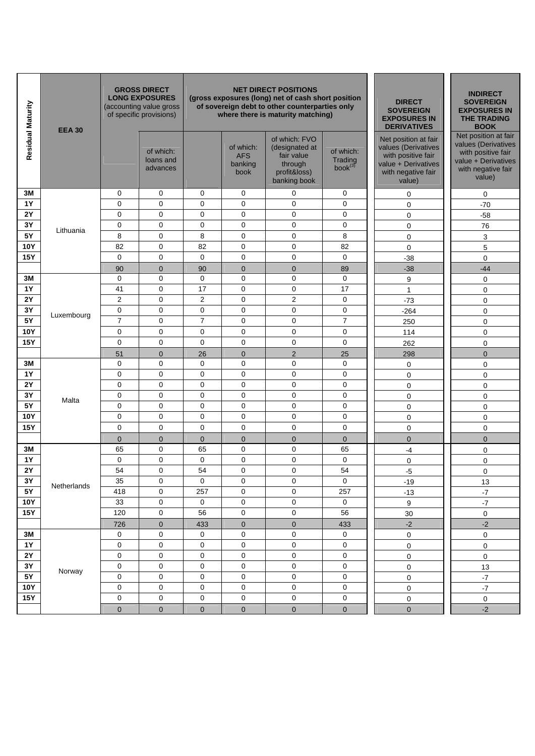| Residual Maturity | <b>EEA 30</b> |                | <b>GROSS DIRECT</b><br><b>LONG EXPOSURES</b><br>(accounting value gross<br>of specific provisions) |                |                                            | <b>NET DIRECT POSITIONS</b><br>(gross exposures (long) net of cash short position<br>of sovereign debt to other counterparties only<br>where there is maturity matching) | <b>DIRECT</b><br><b>SOVEREIGN</b><br><b>EXPOSURES IN</b><br><b>DERIVATIVES</b> | <b>INDIRECT</b><br><b>SOVEREIGN</b><br><b>EXPOSURES IN</b><br><b>THE TRADING</b><br><b>BOOK</b>                          |                                                                                                                          |
|-------------------|---------------|----------------|----------------------------------------------------------------------------------------------------|----------------|--------------------------------------------|--------------------------------------------------------------------------------------------------------------------------------------------------------------------------|--------------------------------------------------------------------------------|--------------------------------------------------------------------------------------------------------------------------|--------------------------------------------------------------------------------------------------------------------------|
|                   |               |                | of which:<br>loans and<br>advances                                                                 |                | of which:<br><b>AFS</b><br>banking<br>book | of which: FVO<br>(designated at<br>fair value<br>through<br>profit&loss)<br>banking book                                                                                 | of which:<br>Trading<br>$book^{(3)}$                                           | Net position at fair<br>values (Derivatives<br>with positive fair<br>value + Derivatives<br>with negative fair<br>value) | Net position at fair<br>values (Derivatives<br>with positive fair<br>value + Derivatives<br>with negative fair<br>value) |
| 3M                |               | 0              | 0                                                                                                  | 0              | 0                                          | $\mathbf 0$                                                                                                                                                              | 0                                                                              | 0                                                                                                                        | 0                                                                                                                        |
| <b>1Y</b>         |               | 0              | $\mathbf 0$                                                                                        | $\mathbf 0$    | $\mathbf 0$                                | $\mathbf 0$                                                                                                                                                              | $\mathbf 0$                                                                    | 0                                                                                                                        | $-70$                                                                                                                    |
| 2Y                |               | 0              | $\mathbf 0$                                                                                        | $\mathbf 0$    | $\mathbf 0$                                | $\mathbf 0$                                                                                                                                                              | $\mathbf 0$                                                                    | 0                                                                                                                        | $-58$                                                                                                                    |
| 3Y                | Lithuania     | 0              | $\mathbf 0$                                                                                        | 0              | $\mathbf 0$                                | $\mathbf 0$                                                                                                                                                              | $\mathbf 0$                                                                    | 0                                                                                                                        | 76                                                                                                                       |
| 5Y                |               | 8              | $\mathbf 0$                                                                                        | 8              | $\mathbf 0$                                | $\mathbf 0$                                                                                                                                                              | 8                                                                              | 0                                                                                                                        | 3                                                                                                                        |
| 10Y               |               | 82             | 0                                                                                                  | 82             | $\mathbf 0$                                | 0                                                                                                                                                                        | 82                                                                             | 0                                                                                                                        | 5                                                                                                                        |
| <b>15Y</b>        |               | 0              | $\mathbf 0$                                                                                        | $\mathbf 0$    | $\mathbf 0$                                | $\mathbf 0$                                                                                                                                                              | $\mathbf 0$                                                                    | $-38$                                                                                                                    | 0                                                                                                                        |
|                   |               | 90             | $\mathbf 0$                                                                                        | 90             | $\mathbf{0}$                               | $\mathbf 0$                                                                                                                                                              | 89                                                                             | $-38$                                                                                                                    | $-44$                                                                                                                    |
| 3M                |               | 0              | $\mathbf 0$                                                                                        | $\mathbf 0$    | $\mathbf 0$                                | 0                                                                                                                                                                        | $\mathbf 0$                                                                    | 9                                                                                                                        | 0                                                                                                                        |
| <b>1Y</b>         |               | 41             | $\mathbf 0$                                                                                        | 17             | $\mathbf 0$                                | $\mathbf 0$                                                                                                                                                              | 17                                                                             | $\mathbf{1}$                                                                                                             | 0                                                                                                                        |
| 2Y                |               | $\overline{2}$ | $\mathbf 0$                                                                                        | $\overline{2}$ | $\mathbf 0$                                | $\overline{2}$                                                                                                                                                           | $\mathbf 0$                                                                    | $-73$                                                                                                                    | 0                                                                                                                        |
| 3Y                | Luxembourg    | 0              | $\mathbf 0$                                                                                        | $\pmb{0}$      | $\mathbf 0$                                | $\mathbf 0$                                                                                                                                                              | $\mathbf 0$                                                                    | $-264$                                                                                                                   | 0                                                                                                                        |
| 5Y                |               | $\overline{7}$ | $\mathbf 0$                                                                                        | $\overline{7}$ | $\mathbf 0$                                | $\mathbf 0$                                                                                                                                                              | $\overline{7}$                                                                 | 250                                                                                                                      | 0                                                                                                                        |
| <b>10Y</b>        |               | 0              | $\mathbf 0$                                                                                        | 0              | $\mathbf 0$                                | $\mathbf 0$                                                                                                                                                              | $\mathbf 0$                                                                    | 114                                                                                                                      | 0                                                                                                                        |
| <b>15Y</b>        |               | 0              | $\mathbf 0$                                                                                        | $\mathbf 0$    | $\mathbf 0$                                | $\mathbf 0$                                                                                                                                                              | $\mathbf 0$                                                                    | 262                                                                                                                      | 0                                                                                                                        |
|                   |               | 51             | $\overline{0}$                                                                                     | 26             | $\mathbf{0}$                               | 2                                                                                                                                                                        | 25                                                                             | 298                                                                                                                      | $\overline{0}$                                                                                                           |
| 3M                |               | 0              | 0                                                                                                  | 0              | $\mathbf 0$                                | $\mathbf 0$                                                                                                                                                              | $\mathbf 0$                                                                    | 0                                                                                                                        | 0                                                                                                                        |
| <b>1Y</b>         |               | 0              | $\mathbf 0$                                                                                        | $\mathbf 0$    | $\mathbf 0$                                | $\mathbf 0$                                                                                                                                                              | $\mathbf 0$                                                                    | 0                                                                                                                        | 0                                                                                                                        |
| <b>2Y</b>         |               | 0              | $\mathbf 0$                                                                                        | $\mathbf 0$    | $\mathbf 0$                                | $\mathbf 0$                                                                                                                                                              | $\mathbf 0$                                                                    | 0                                                                                                                        | 0                                                                                                                        |
| 3Y                | Malta         | 0              | 0                                                                                                  | 0              | $\mathbf 0$                                | $\mathbf 0$                                                                                                                                                              | $\mathbf 0$                                                                    | 0                                                                                                                        | 0                                                                                                                        |
| 5Y                |               | 0              | $\mathbf 0$                                                                                        | $\mathbf 0$    | $\mathbf 0$                                | $\mathbf 0$                                                                                                                                                              | $\mathbf 0$                                                                    | $\mathbf 0$                                                                                                              | 0                                                                                                                        |
| <b>10Y</b>        |               | 0              | 0                                                                                                  | 0              | $\mathbf 0$                                | $\pmb{0}$                                                                                                                                                                | $\mathbf 0$                                                                    | 0                                                                                                                        | 0                                                                                                                        |
| <b>15Y</b>        |               | 0              | $\mathbf 0$                                                                                        | $\mathbf 0$    | $\mathbf 0$                                | $\mathbf 0$                                                                                                                                                              | $\mathbf 0$                                                                    | 0                                                                                                                        | 0                                                                                                                        |
|                   |               | $\mathbf 0$    | $\mathbf 0$                                                                                        | $\mathbf 0$    | $\mathbf 0$                                | $\mathbf{0}$                                                                                                                                                             | $\mathbf 0$                                                                    | $\overline{0}$                                                                                                           | $\mathbf 0$                                                                                                              |
| 3M                |               | 65             | 0                                                                                                  | 65             | $\mathbf 0$                                | $\pmb{0}$                                                                                                                                                                | 65                                                                             | $-4$                                                                                                                     | 0                                                                                                                        |
| <b>1Y</b>         |               | 0              | $\mathbf 0$                                                                                        | 0              | $\mathbf 0$                                | $\pmb{0}$                                                                                                                                                                | $\mathbf 0$                                                                    | 0                                                                                                                        | 0                                                                                                                        |
| 2Y                |               | 54             | $\Omega$                                                                                           | 54             | $\Omega$                                   | $\mathbf 0$                                                                                                                                                              | 54                                                                             | $-5$                                                                                                                     | $\Omega$                                                                                                                 |
| $3\,\rm Y$        | Netherlands   | 35             | $\mathbf 0$                                                                                        | $\mathbf 0$    | $\mathbf 0$                                | $\mathbf 0$                                                                                                                                                              | $\mathbf 0$                                                                    | $-19$                                                                                                                    | 13                                                                                                                       |
| <b>5Y</b>         |               | 418            | $\mathbf 0$                                                                                        | 257            | 0                                          | $\mathbf 0$                                                                                                                                                              | 257                                                                            | $-13$                                                                                                                    | $-7$                                                                                                                     |
| <b>10Y</b>        |               | 33             | $\mathbf 0$                                                                                        | 0              | $\pmb{0}$                                  | 0                                                                                                                                                                        | $\mathbf 0$                                                                    | 9                                                                                                                        | $-7$                                                                                                                     |
| <b>15Y</b>        |               | 120            | $\mathsf{O}\xspace$                                                                                | 56             | 0                                          | $\mathsf{O}\xspace$                                                                                                                                                      | 56                                                                             | 30                                                                                                                       | 0                                                                                                                        |
|                   |               | 726            | $\mathbf 0$                                                                                        | 433            | $\pmb{0}$                                  | $\pmb{0}$                                                                                                                                                                | 433                                                                            | $-2$                                                                                                                     | $-2$                                                                                                                     |
| $3M$              |               | 0              | $\mathbf 0$                                                                                        | 0              | $\pmb{0}$                                  | 0                                                                                                                                                                        | 0                                                                              | $\pmb{0}$                                                                                                                | $\pmb{0}$                                                                                                                |
| $1Y$              |               | 0              | 0                                                                                                  | 0              | $\mathbf 0$                                | $\mathbf 0$                                                                                                                                                              | $\mathbf 0$                                                                    | $\mathsf 0$                                                                                                              | $\pmb{0}$                                                                                                                |
| <b>2Y</b>         |               | 0              | 0                                                                                                  | 0              | $\mathbf 0$                                | $\mathbf 0$                                                                                                                                                              | $\mathbf 0$                                                                    | $\mathsf 0$                                                                                                              | $\pmb{0}$                                                                                                                |
| 3Y                | Norway        | 0              | 0                                                                                                  | $\pmb{0}$      | $\mathbf 0$                                | $\mathbf 0$                                                                                                                                                              | $\mathbf 0$                                                                    | $\mathsf 0$                                                                                                              | 13                                                                                                                       |
| <b>5Y</b>         |               | 0              | $\mathbf 0$                                                                                        | $\pmb{0}$      | $\mathbf 0$                                | $\pmb{0}$                                                                                                                                                                | $\mathbf 0$                                                                    | $\mathbf 0$                                                                                                              | $-7$                                                                                                                     |
| <b>10Y</b>        |               | 0              | $\mathbf 0$                                                                                        | $\pmb{0}$      | $\mathbf 0$                                | $\pmb{0}$                                                                                                                                                                | $\mathbf 0$                                                                    | $\mathbf 0$                                                                                                              | $-7$                                                                                                                     |
| <b>15Y</b>        |               | 0              | 0                                                                                                  | 0              | $\mathbf 0$                                | 0                                                                                                                                                                        | $\pmb{0}$                                                                      | 0                                                                                                                        | 0                                                                                                                        |
|                   |               | $\overline{0}$ | $\mathbf 0$                                                                                        | $\mathbf{0}$   | $\mathbf{0}$                               | $\mathbf{0}$                                                                                                                                                             | $\overline{0}$                                                                 | $\overline{0}$                                                                                                           | $-2$                                                                                                                     |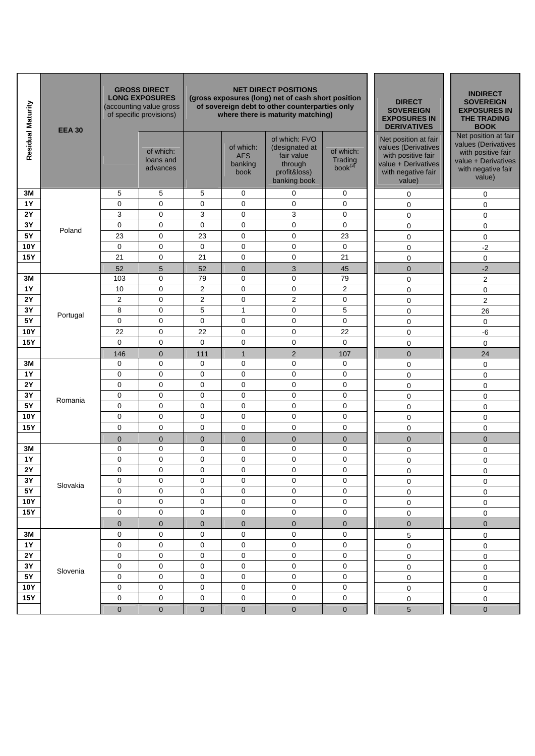| Residual Maturity | <b>EEA 30</b> |                | <b>GROSS DIRECT</b><br><b>LONG EXPOSURES</b><br>(accounting value gross<br>of specific provisions) |                |                                            | <b>NET DIRECT POSITIONS</b><br>(gross exposures (long) net of cash short position<br>of sovereign debt to other counterparties only<br>where there is maturity matching) | <b>DIRECT</b><br><b>SOVEREIGN</b><br><b>EXPOSURES IN</b><br><b>DERIVATIVES</b> | <b>INDIRECT</b><br><b>SOVEREIGN</b><br><b>EXPOSURES IN</b><br><b>THE TRADING</b><br><b>BOOK</b>                          |                                                                                                                          |
|-------------------|---------------|----------------|----------------------------------------------------------------------------------------------------|----------------|--------------------------------------------|--------------------------------------------------------------------------------------------------------------------------------------------------------------------------|--------------------------------------------------------------------------------|--------------------------------------------------------------------------------------------------------------------------|--------------------------------------------------------------------------------------------------------------------------|
|                   |               |                | of which:<br>loans and<br>advances                                                                 |                | of which:<br><b>AFS</b><br>banking<br>book | of which: FVO<br>(designated at<br>fair value<br>through<br>profit&loss)<br>banking book                                                                                 | of which:<br>Trading<br>book <sup>(3)</sup>                                    | Net position at fair<br>values (Derivatives<br>with positive fair<br>value + Derivatives<br>with negative fair<br>value) | Net position at fair<br>values (Derivatives<br>with positive fair<br>value + Derivatives<br>with negative fair<br>value) |
| 3M                |               | 5              | 5                                                                                                  | 5              | 0                                          | 0                                                                                                                                                                        | 0                                                                              | 0                                                                                                                        | 0                                                                                                                        |
| <b>1Y</b>         |               | 0              | $\mathbf 0$                                                                                        | $\mathbf 0$    | $\mathbf 0$                                | $\mathbf 0$                                                                                                                                                              | $\mathbf 0$                                                                    | 0                                                                                                                        | 0                                                                                                                        |
| 2Y                |               | 3              | $\mathbf 0$                                                                                        | 3              | $\mathbf 0$                                | 3                                                                                                                                                                        | $\mathbf 0$                                                                    | $\mathbf 0$                                                                                                              | 0                                                                                                                        |
| 3Y                | Poland        | 0              | $\mathbf 0$                                                                                        | $\mathbf 0$    | $\mathbf 0$                                | $\mathbf 0$                                                                                                                                                              | $\mathbf 0$                                                                    | 0                                                                                                                        | 0                                                                                                                        |
| 5Y                |               | 23             | $\mathbf 0$                                                                                        | 23             | $\mathbf 0$                                | $\mathbf 0$                                                                                                                                                              | 23                                                                             | $\pmb{0}$                                                                                                                | 0                                                                                                                        |
| <b>10Y</b>        |               | 0              | $\mathbf 0$                                                                                        | $\pmb{0}$      | $\mathbf 0$                                | $\mathbf 0$                                                                                                                                                              | $\mathbf 0$                                                                    | 0                                                                                                                        | $-2$                                                                                                                     |
| <b>15Y</b>        |               | 21             | $\mathbf 0$                                                                                        | 21             | $\mathbf 0$                                | $\mathbf 0$                                                                                                                                                              | 21                                                                             | 0                                                                                                                        | 0                                                                                                                        |
|                   |               | 52             | 5                                                                                                  | 52             | $\mathbf{0}$                               | 3                                                                                                                                                                        | 45                                                                             | $\mathbf 0$                                                                                                              | $-2$                                                                                                                     |
| 3M                |               | 103            | 0                                                                                                  | 79             | $\mathbf 0$                                | 0                                                                                                                                                                        | 79                                                                             | 0                                                                                                                        | $\overline{c}$                                                                                                           |
| <b>1Y</b>         |               | 10             | $\mathbf 0$                                                                                        | $\overline{2}$ | $\mathbf 0$                                | $\mathbf 0$                                                                                                                                                              | $\overline{2}$                                                                 | $\pmb{0}$                                                                                                                | 0                                                                                                                        |
| <b>2Y</b>         |               | $\overline{2}$ | $\mathbf 0$                                                                                        | $\overline{2}$ | $\mathbf 0$                                | $\overline{2}$                                                                                                                                                           | 0                                                                              | $\pmb{0}$                                                                                                                | $\overline{2}$                                                                                                           |
| 3Y                | Portugal      | 8              | $\mathbf 0$                                                                                        | 5              | $\mathbf{1}$                               | 0                                                                                                                                                                        | 5                                                                              | 0                                                                                                                        | 26                                                                                                                       |
| 5Y                |               | 0              | 0                                                                                                  | 0              | $\mathbf 0$                                | $\mathbf 0$                                                                                                                                                              | $\mathbf 0$                                                                    | 0                                                                                                                        | 0                                                                                                                        |
| 10Y               |               | 22             | $\mathbf 0$                                                                                        | 22             | $\mathbf 0$                                | $\mathbf 0$                                                                                                                                                              | 22                                                                             | 0                                                                                                                        | $-6$                                                                                                                     |
| <b>15Y</b>        |               | 0              | $\mathbf 0$                                                                                        | $\mathbf 0$    | $\mathbf 0$                                | $\mathbf 0$                                                                                                                                                              | $\mathbf 0$                                                                    | 0                                                                                                                        | $\mathbf 0$                                                                                                              |
|                   |               | 146            | $\mathbf{0}$                                                                                       | 111            | $\mathbf{1}$                               | 2                                                                                                                                                                        | 107                                                                            | $\overline{0}$                                                                                                           | 24                                                                                                                       |
| 3M                |               | 0              | 0                                                                                                  | 0              | $\mathbf 0$                                | 0                                                                                                                                                                        | $\mathbf 0$                                                                    | 0                                                                                                                        | 0                                                                                                                        |
| <b>1Y</b>         |               | 0              | 0                                                                                                  | 0              | $\mathbf 0$                                | $\mathbf 0$                                                                                                                                                              | $\mathbf 0$                                                                    | 0                                                                                                                        | $\mathbf 0$                                                                                                              |
| <b>2Y</b>         |               | 0              | 0                                                                                                  | 0              | $\mathbf 0$                                | 0                                                                                                                                                                        | 0                                                                              | 0                                                                                                                        | 0                                                                                                                        |
| 3Y                | Romania       | 0              | $\mathbf 0$                                                                                        | $\mathbf 0$    | $\mathbf 0$                                | $\mathbf 0$                                                                                                                                                              | $\mathbf 0$                                                                    | 0                                                                                                                        | 0                                                                                                                        |
| <b>5Y</b>         |               | 0              | $\mathbf 0$                                                                                        | $\mathbf 0$    | $\mathbf 0$                                | $\mathbf 0$                                                                                                                                                              | $\mathbf 0$                                                                    | 0                                                                                                                        | 0                                                                                                                        |
| <b>10Y</b>        |               | 0              | 0                                                                                                  | 0              | $\mathbf 0$                                | $\pmb{0}$                                                                                                                                                                | $\mathbf 0$                                                                    | 0                                                                                                                        | 0                                                                                                                        |
| <b>15Y</b>        |               | 0              | $\mathbf 0$                                                                                        | $\mathbf 0$    | $\mathbf 0$                                | $\mathbf 0$                                                                                                                                                              | $\mathbf 0$                                                                    | 0                                                                                                                        | 0                                                                                                                        |
|                   |               | $\mathbf 0$    | $\mathbf 0$                                                                                        | $\mathbf 0$    | $\mathbf 0$                                | $\mathbf 0$                                                                                                                                                              | $\mathbf 0$                                                                    | $\overline{0}$                                                                                                           | $\mathbf 0$                                                                                                              |
| 3M                |               | 0              | $\mathbf 0$                                                                                        | $\pmb{0}$      | $\mathbf 0$                                | $\pmb{0}$                                                                                                                                                                | $\mathbf 0$                                                                    | 0                                                                                                                        | 0                                                                                                                        |
| <b>1Y</b>         |               | $\mathsf 0$    | $\mathbf 0$                                                                                        | $\pmb{0}$      | $\mathbf 0$                                | $\mathbf 0$                                                                                                                                                              | $\mathbf 0$                                                                    | 0                                                                                                                        | 0                                                                                                                        |
| 2Y                |               | 0              | $\Omega$                                                                                           | $\mathbf 0$    | $\mathbf 0$                                | $\mathbf 0$                                                                                                                                                              | $\mathbf 0$                                                                    | $\Omega$                                                                                                                 | $\Omega$                                                                                                                 |
| $3\,\rm Y$        | Slovakia      | 0              | 0                                                                                                  | 0              | $\pmb{0}$                                  | 0                                                                                                                                                                        | 0                                                                              | 0                                                                                                                        | 0                                                                                                                        |
| $5Y$              |               | 0              | $\mathbf 0$                                                                                        | 0              | 0                                          | $\mathsf{O}\xspace$                                                                                                                                                      | $\mathbf 0$                                                                    | 0                                                                                                                        | 0                                                                                                                        |
| <b>10Y</b>        |               | 0              | $\mathsf{O}\xspace$                                                                                | 0              | $\pmb{0}$                                  | $\mathsf{O}\xspace$                                                                                                                                                      | $\mathbf 0$                                                                    | $\mathsf 0$                                                                                                              | 0                                                                                                                        |
| <b>15Y</b>        |               | 0              | $\mathbf 0$                                                                                        | 0              | $\mathbf 0$                                | $\mathsf{O}\xspace$                                                                                                                                                      | $\pmb{0}$                                                                      | $\mathsf 0$                                                                                                              | 0                                                                                                                        |
|                   |               | $\pmb{0}$      | $\mathbf 0$                                                                                        | $\pmb{0}$      | $\pmb{0}$                                  | $\pmb{0}$                                                                                                                                                                | $\pmb{0}$                                                                      | $\pmb{0}$                                                                                                                | $\pmb{0}$                                                                                                                |
| 3M                |               | 0              | 0                                                                                                  | 0              | $\mathbf 0$                                | 0                                                                                                                                                                        | $\mathbf 0$                                                                    | 5                                                                                                                        | 0                                                                                                                        |
| $1Y$              |               | 0              | $\mathbf 0$                                                                                        | 0              | 0                                          | $\mathsf{O}\xspace$                                                                                                                                                      | $\pmb{0}$                                                                      | $\mathsf 0$                                                                                                              | 0                                                                                                                        |
| $2\mathsf{Y}$     |               | 0              | 0                                                                                                  | 0              | $\pmb{0}$                                  | $\mathsf{O}\xspace$                                                                                                                                                      | 0                                                                              | $\mathsf 0$                                                                                                              | 0                                                                                                                        |
| $3\,\rm{Y}$       | Slovenia      | 0              | 0                                                                                                  | 0              | $\pmb{0}$                                  | $\mathbf 0$                                                                                                                                                              | $\pmb{0}$                                                                      | $\mathsf 0$                                                                                                              | $\pmb{0}$                                                                                                                |
| 5Y                |               | 0              | 0                                                                                                  | 0              | $\mathbf 0$                                | $\mathbf 0$                                                                                                                                                              | $\pmb{0}$                                                                      | $\mathsf 0$                                                                                                              | 0                                                                                                                        |
| <b>10Y</b>        |               | 0              | $\mathbf 0$                                                                                        | 0              | $\mathbf 0$                                | $\mathbf 0$                                                                                                                                                              | $\mathbf 0$                                                                    | $\mathsf 0$                                                                                                              | 0                                                                                                                        |
| <b>15Y</b>        |               | 0              | $\mathbf 0$                                                                                        | $\pmb{0}$      | $\pmb{0}$                                  | $\pmb{0}$                                                                                                                                                                | $\mathbf 0$                                                                    | $\mathbf 0$                                                                                                              | 0                                                                                                                        |
|                   |               | $\overline{0}$ | $\mathbf{0}$                                                                                       | $\mathbf{0}$   | $\overline{0}$                             | $\overline{0}$                                                                                                                                                           | $\overline{0}$                                                                 | 5                                                                                                                        | $\overline{0}$                                                                                                           |